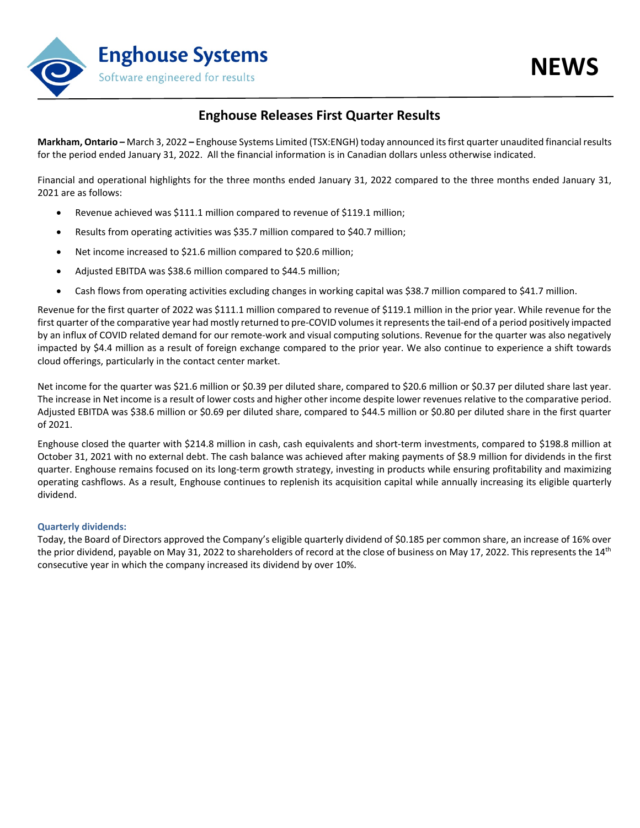

## **Enghouse Releases First Quarter Results**

**Markham, Ontario –** March 3, 2022 **–** Enghouse Systems Limited (TSX:ENGH) today announced its first quarter unaudited financial results for the period ended January 31, 2022. All the financial information is in Canadian dollars unless otherwise indicated.

Financial and operational highlights for the three months ended January 31, 2022 compared to the three months ended January 31, 2021 are as follows:

- Revenue achieved was \$111.1 million compared to revenue of \$119.1 million;
- Results from operating activities was \$35.7 million compared to \$40.7 million;
- Net income increased to \$21.6 million compared to \$20.6 million;
- Adjusted EBITDA was \$38.6 million compared to \$44.5 million;
- Cash flows from operating activities excluding changes in working capital was \$38.7 million compared to \$41.7 million.

Revenue for the first quarter of 2022 was \$111.1 million compared to revenue of \$119.1 million in the prior year. While revenue for the first quarter of the comparative year had mostly returned to pre-COVID volumes it represents the tail-end of a period positively impacted by an influx of COVID related demand for our remote-work and visual computing solutions. Revenue for the quarter was also negatively impacted by \$4.4 million as a result of foreign exchange compared to the prior year. We also continue to experience a shift towards cloud offerings, particularly in the contact center market.

Net income for the quarter was \$21.6 million or \$0.39 per diluted share, compared to \$20.6 million or \$0.37 per diluted share last year. The increase in Net income is a result of lower costs and higher other income despite lower revenues relative to the comparative period. Adjusted EBITDA was \$38.6 million or \$0.69 per diluted share, compared to \$44.5 million or \$0.80 per diluted share in the first quarter of 2021.

Enghouse closed the quarter with \$214.8 million in cash, cash equivalents and short-term investments, compared to \$198.8 million at October 31, 2021 with no external debt. The cash balance was achieved after making payments of \$8.9 million for dividends in the first quarter. Enghouse remains focused on its long-term growth strategy, investing in products while ensuring profitability and maximizing operating cashflows. As a result, Enghouse continues to replenish its acquisition capital while annually increasing its eligible quarterly dividend.

### **Quarterly dividends:**

Today, the Board of Directors approved the Company's eligible quarterly dividend of \$0.185 per common share, an increase of 16% over the prior dividend, payable on May 31, 2022 to shareholders of record at the close of business on May 17, 2022. This represents the 14<sup>th</sup> consecutive year in which the company increased its dividend by over 10%.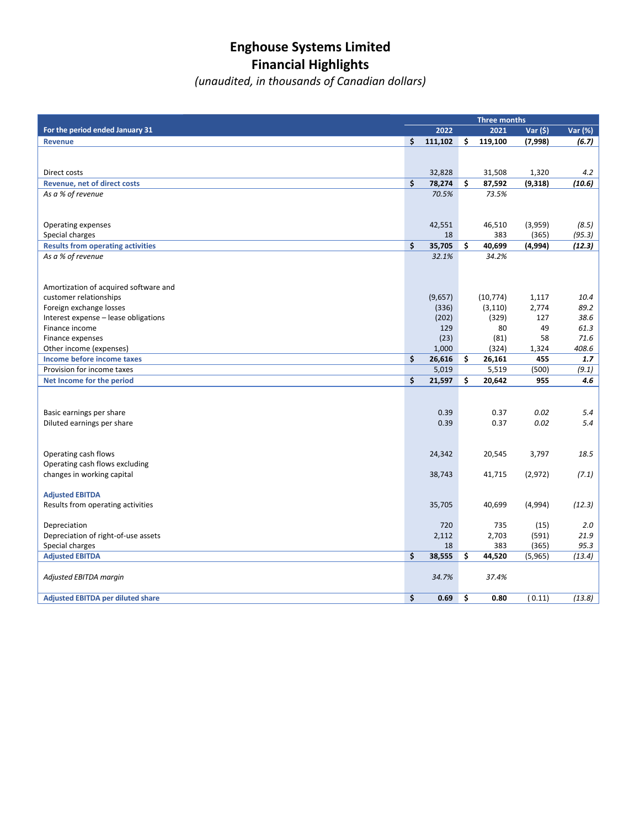# **Enghouse Systems Limited Financial Highlights**

*(unaudited, in thousands of Canadian dollars)*

|                                                               | Three months |              |    |               |          |                  |
|---------------------------------------------------------------|--------------|--------------|----|---------------|----------|------------------|
| For the period ended January 31                               |              | 2022         |    | 2021          | Var (\$) | Var (%)          |
| <b>Revenue</b>                                                | \$           | 111,102      | \$ | 119,100       | (7,998)  | (6.7)            |
|                                                               |              |              |    |               |          |                  |
|                                                               |              |              |    |               |          |                  |
| Direct costs                                                  |              | 32,828       |    | 31,508        | 1,320    | 4.2              |
| Revenue, net of direct costs                                  | \$           | 78,274       | \$ | 87,592        | (9,318)  | (10.6)           |
| As a % of revenue                                             |              | 70.5%        |    | 73.5%         |          |                  |
|                                                               |              |              |    |               |          |                  |
|                                                               |              |              |    |               |          |                  |
| Operating expenses                                            |              | 42,551<br>18 |    | 46,510<br>383 | (3,959)  | (8.5)            |
| Special charges                                               | \$           | 35,705       | Ś. | 40,699        | (365)    | (95.3)<br>(12.3) |
| <b>Results from operating activities</b><br>As a % of revenue |              | 32.1%        |    | 34.2%         | (4,994)  |                  |
|                                                               |              |              |    |               |          |                  |
|                                                               |              |              |    |               |          |                  |
| Amortization of acquired software and                         |              |              |    |               |          |                  |
| customer relationships                                        |              | (9,657)      |    | (10, 774)     | 1,117    | 10.4             |
| Foreign exchange losses                                       |              | (336)        |    | (3, 110)      | 2,774    | 89.2             |
| Interest expense - lease obligations                          |              | (202)        |    | (329)         | 127      | 38.6             |
| Finance income                                                |              | 129          |    | 80            | 49       | 61.3             |
| Finance expenses                                              |              | (23)         |    | (81)          | 58       | 71.6             |
| Other income (expenses)                                       |              | 1,000        |    | (324)         | 1,324    | 408.6            |
| Income before income taxes                                    | \$           | 26,616       | \$ | 26,161        | 455      | 1.7              |
| Provision for income taxes                                    |              | 5,019        |    | 5,519         | (500)    | (9.1)            |
| Net Income for the period                                     | \$           | 21,597       | \$ | 20,642        | 955      | 4.6              |
|                                                               |              |              |    |               |          |                  |
|                                                               |              |              |    |               |          |                  |
| Basic earnings per share                                      |              | 0.39         |    | 0.37          | 0.02     | 5.4              |
| Diluted earnings per share                                    |              | 0.39         |    | 0.37          | 0.02     | 5.4              |
|                                                               |              |              |    |               |          |                  |
|                                                               |              |              |    |               |          |                  |
| Operating cash flows                                          |              | 24,342       |    | 20,545        | 3,797    | 18.5             |
| Operating cash flows excluding                                |              | 38,743       |    | 41,715        |          |                  |
| changes in working capital                                    |              |              |    |               | (2,972)  | (7.1)            |
| <b>Adjusted EBITDA</b>                                        |              |              |    |               |          |                  |
| Results from operating activities                             |              | 35,705       |    | 40,699        | (4,994)  | (12.3)           |
|                                                               |              |              |    |               |          |                  |
| Depreciation                                                  |              | 720          |    | 735           | (15)     | 2.0              |
| Depreciation of right-of-use assets                           |              | 2,112        |    | 2,703         | (591)    | 21.9             |
| Special charges                                               |              | 18           |    | 383           | (365)    | 95.3             |
| <b>Adjusted EBITDA</b>                                        | \$           | 38,555       | \$ | 44,520        | (5,965)  | (13.4)           |
|                                                               |              |              |    |               |          |                  |
| Adjusted EBITDA margin                                        |              | 34.7%        |    | 37.4%         |          |                  |
|                                                               |              |              |    |               |          |                  |
| <b>Adjusted EBITDA per diluted share</b>                      | \$           | 0.69         | \$ | 0.80          | (0.11)   | (13.8)           |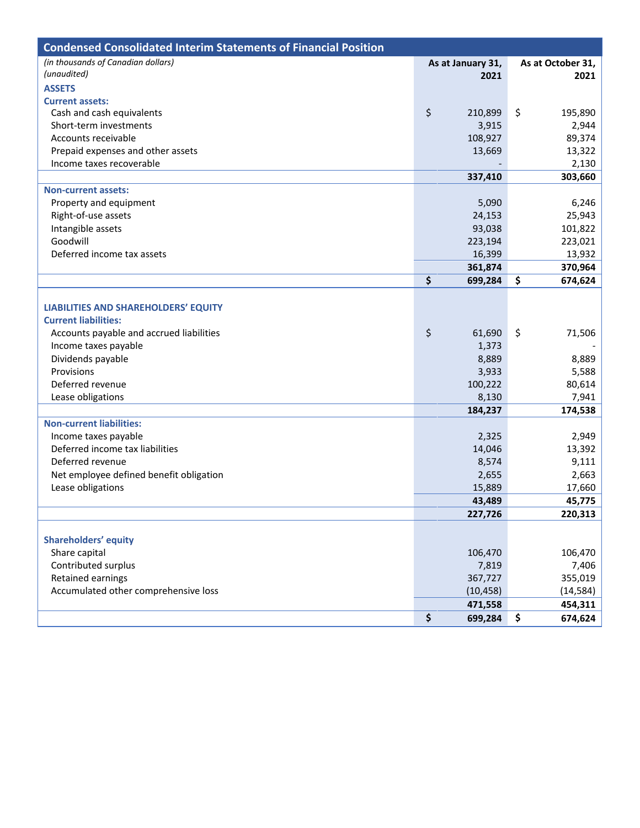| <b>Condensed Consolidated Interim Statements of Financial Position</b> |                   |                   |
|------------------------------------------------------------------------|-------------------|-------------------|
| (in thousands of Canadian dollars)                                     | As at January 31, | As at October 31, |
| (unaudited)                                                            | 2021              | 2021              |
| <b>ASSETS</b>                                                          |                   |                   |
| <b>Current assets:</b>                                                 |                   |                   |
| Cash and cash equivalents                                              | \$<br>210,899     | \$<br>195,890     |
| Short-term investments                                                 | 3,915             | 2,944             |
| Accounts receivable                                                    | 108,927           | 89,374            |
| Prepaid expenses and other assets                                      | 13,669            | 13,322            |
| Income taxes recoverable                                               |                   | 2,130             |
|                                                                        | 337,410           | 303,660           |
| <b>Non-current assets:</b>                                             |                   |                   |
| Property and equipment                                                 | 5,090             | 6,246             |
| Right-of-use assets                                                    | 24,153            | 25,943            |
| Intangible assets                                                      | 93,038            | 101,822           |
| Goodwill                                                               | 223,194           | 223,021           |
| Deferred income tax assets                                             | 16,399            | 13,932            |
|                                                                        | 361,874           | 370,964           |
|                                                                        | \$<br>699,284     | \$<br>674,624     |
|                                                                        |                   |                   |
| LIABILITIES AND SHAREHOLDERS' EQUITY                                   |                   |                   |
| <b>Current liabilities:</b>                                            |                   |                   |
| Accounts payable and accrued liabilities                               | \$<br>61,690      | \$<br>71,506      |
| Income taxes payable                                                   | 1,373             |                   |
| Dividends payable                                                      | 8,889             | 8,889             |
| Provisions                                                             | 3,933             | 5,588             |
| Deferred revenue                                                       | 100,222           | 80,614            |
| Lease obligations                                                      | 8,130             | 7,941             |
|                                                                        | 184,237           | 174,538           |
| <b>Non-current liabilities:</b>                                        |                   |                   |
| Income taxes payable                                                   | 2,325             | 2,949             |
| Deferred income tax liabilities                                        | 14,046            | 13,392            |
| Deferred revenue                                                       | 8,574             | 9,111             |
| Net employee defined benefit obligation                                | 2,655             | 2,663             |
| Lease obligations                                                      | 15,889            | 17,660            |
|                                                                        | 43,489            | 45,775            |
|                                                                        | 227,726           | 220,313           |
|                                                                        |                   |                   |
| <b>Shareholders' equity</b>                                            |                   |                   |
| Share capital                                                          | 106,470           | 106,470           |
| Contributed surplus                                                    | 7,819             | 7,406             |
| Retained earnings                                                      | 367,727           | 355,019           |
| Accumulated other comprehensive loss                                   | (10, 458)         | (14, 584)         |
|                                                                        | 471,558           | 454,311           |
|                                                                        | \$<br>699,284     | \$<br>674,624     |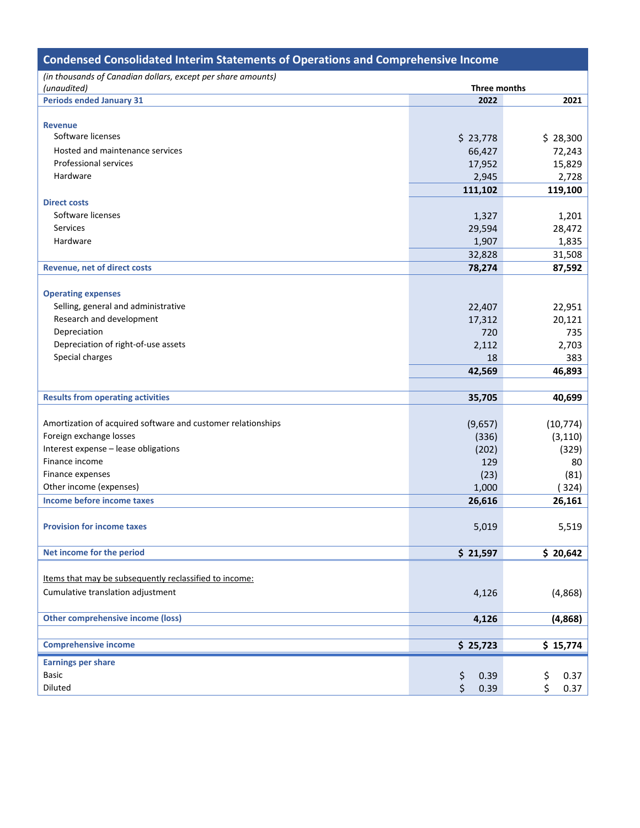| <b>Condensed Consolidated Interim Statements of Operations and Comprehensive Income</b> |              |            |  |  |  |  |  |
|-----------------------------------------------------------------------------------------|--------------|------------|--|--|--|--|--|
| (in thousands of Canadian dollars, except per share amounts)                            |              |            |  |  |  |  |  |
| (unaudited)                                                                             | Three months |            |  |  |  |  |  |
| <b>Periods ended January 31</b>                                                         | 2022         | 2021       |  |  |  |  |  |
|                                                                                         |              |            |  |  |  |  |  |
| <b>Revenue</b>                                                                          |              |            |  |  |  |  |  |
| Software licenses                                                                       | \$23,778     | \$28,300   |  |  |  |  |  |
| Hosted and maintenance services                                                         | 66,427       | 72,243     |  |  |  |  |  |
| <b>Professional services</b>                                                            | 17,952       | 15,829     |  |  |  |  |  |
| Hardware                                                                                | 2,945        | 2,728      |  |  |  |  |  |
|                                                                                         | 111,102      | 119,100    |  |  |  |  |  |
| <b>Direct costs</b>                                                                     |              |            |  |  |  |  |  |
| Software licenses                                                                       | 1,327        | 1,201      |  |  |  |  |  |
| Services                                                                                | 29,594       | 28,472     |  |  |  |  |  |
| Hardware                                                                                | 1,907        | 1,835      |  |  |  |  |  |
|                                                                                         | 32,828       | 31,508     |  |  |  |  |  |
| <b>Revenue, net of direct costs</b>                                                     | 78,274       | 87,592     |  |  |  |  |  |
|                                                                                         |              |            |  |  |  |  |  |
| <b>Operating expenses</b>                                                               |              |            |  |  |  |  |  |
| Selling, general and administrative                                                     | 22,407       | 22,951     |  |  |  |  |  |
| Research and development                                                                | 17,312       | 20,121     |  |  |  |  |  |
| Depreciation                                                                            | 720          | 735        |  |  |  |  |  |
| Depreciation of right-of-use assets                                                     | 2,112        | 2,703      |  |  |  |  |  |
| Special charges                                                                         | 18           | 383        |  |  |  |  |  |
|                                                                                         | 42,569       | 46,893     |  |  |  |  |  |
|                                                                                         |              |            |  |  |  |  |  |
| <b>Results from operating activities</b>                                                | 35,705       | 40,699     |  |  |  |  |  |
|                                                                                         |              |            |  |  |  |  |  |
| Amortization of acquired software and customer relationships                            | (9,657)      | (10, 774)  |  |  |  |  |  |
| Foreign exchange losses                                                                 | (336)        | (3, 110)   |  |  |  |  |  |
| Interest expense - lease obligations                                                    | (202)        | (329)      |  |  |  |  |  |
| Finance income                                                                          | 129          | 80         |  |  |  |  |  |
| Finance expenses                                                                        | (23)         | (81)       |  |  |  |  |  |
| Other income (expenses)                                                                 | 1,000        | (324)      |  |  |  |  |  |
| Income before income taxes                                                              | 26,616       | 26,161     |  |  |  |  |  |
|                                                                                         |              |            |  |  |  |  |  |
| <b>Provision for income taxes</b>                                                       | 5,019        | 5,519      |  |  |  |  |  |
|                                                                                         |              |            |  |  |  |  |  |
| Net income for the period                                                               | \$21,597     | \$20,642   |  |  |  |  |  |
|                                                                                         |              |            |  |  |  |  |  |
| Items that may be subsequently reclassified to income:                                  |              |            |  |  |  |  |  |
| Cumulative translation adjustment                                                       |              |            |  |  |  |  |  |
|                                                                                         | 4,126        | (4,868)    |  |  |  |  |  |
|                                                                                         |              |            |  |  |  |  |  |
| <b>Other comprehensive income (loss)</b>                                                | 4,126        | (4,868)    |  |  |  |  |  |
|                                                                                         |              |            |  |  |  |  |  |
| <b>Comprehensive income</b>                                                             | \$25,723     | \$15,774   |  |  |  |  |  |
| <b>Earnings per share</b>                                                               |              |            |  |  |  |  |  |
| <b>Basic</b>                                                                            | \$<br>0.39   | \$<br>0.37 |  |  |  |  |  |
| Diluted                                                                                 | Ś<br>0.39    | \$<br>0.37 |  |  |  |  |  |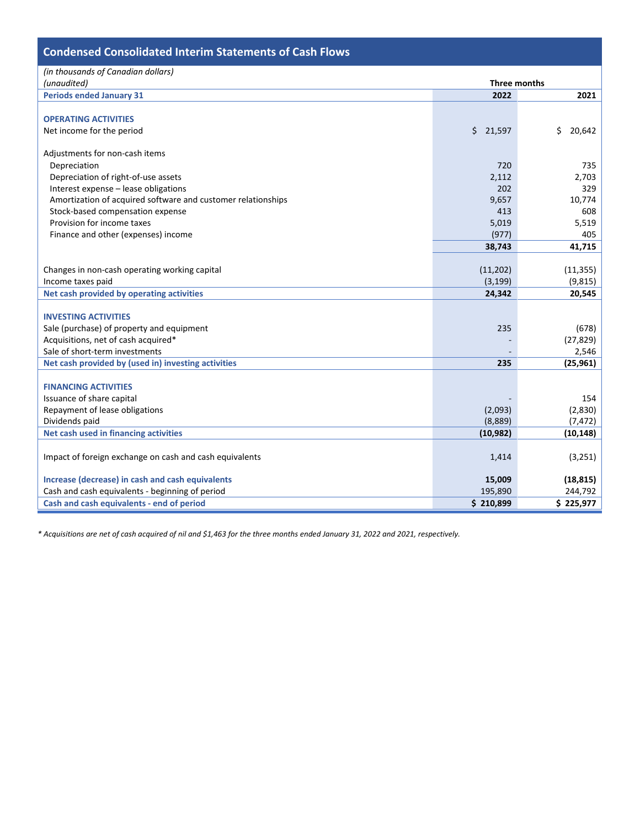| <b>Condensed Consolidated Interim Statements of Cash Flows</b> |              |              |  |  |  |  |  |
|----------------------------------------------------------------|--------------|--------------|--|--|--|--|--|
| (in thousands of Canadian dollars)<br>(unaudited)              | Three months |              |  |  |  |  |  |
| <b>Periods ended January 31</b>                                | 2022         | 2021         |  |  |  |  |  |
|                                                                |              |              |  |  |  |  |  |
| <b>OPERATING ACTIVITIES</b>                                    |              |              |  |  |  |  |  |
| Net income for the period                                      | \$21,597     | \$<br>20,642 |  |  |  |  |  |
|                                                                |              |              |  |  |  |  |  |
| Adjustments for non-cash items                                 |              |              |  |  |  |  |  |
| Depreciation                                                   | 720          | 735          |  |  |  |  |  |
| Depreciation of right-of-use assets                            | 2,112        | 2,703        |  |  |  |  |  |
| Interest expense - lease obligations                           | 202          | 329          |  |  |  |  |  |
| Amortization of acquired software and customer relationships   | 9,657        | 10,774       |  |  |  |  |  |
| Stock-based compensation expense                               | 413          | 608          |  |  |  |  |  |
| Provision for income taxes                                     | 5,019        | 5,519        |  |  |  |  |  |
| Finance and other (expenses) income                            | (977)        | 405          |  |  |  |  |  |
|                                                                | 38,743       | 41,715       |  |  |  |  |  |
|                                                                |              |              |  |  |  |  |  |
| Changes in non-cash operating working capital                  | (11,202)     | (11, 355)    |  |  |  |  |  |
| Income taxes paid                                              | (3, 199)     | (9, 815)     |  |  |  |  |  |
| Net cash provided by operating activities                      | 24,342       | 20,545       |  |  |  |  |  |
|                                                                |              |              |  |  |  |  |  |
| <b>INVESTING ACTIVITIES</b>                                    |              |              |  |  |  |  |  |
| Sale (purchase) of property and equipment                      | 235          | (678)        |  |  |  |  |  |
| Acquisitions, net of cash acquired*                            |              | (27, 829)    |  |  |  |  |  |
| Sale of short-term investments                                 |              | 2,546        |  |  |  |  |  |
| Net cash provided by (used in) investing activities            | 235          | (25, 961)    |  |  |  |  |  |
|                                                                |              |              |  |  |  |  |  |
| <b>FINANCING ACTIVITIES</b>                                    |              |              |  |  |  |  |  |
| Issuance of share capital                                      |              | 154          |  |  |  |  |  |
| Repayment of lease obligations                                 | (2,093)      | (2,830)      |  |  |  |  |  |
| Dividends paid                                                 | (8,889)      | (7, 472)     |  |  |  |  |  |
| Net cash used in financing activities                          | (10, 982)    | (10, 148)    |  |  |  |  |  |
|                                                                |              |              |  |  |  |  |  |
| Impact of foreign exchange on cash and cash equivalents        | 1,414        | (3, 251)     |  |  |  |  |  |
|                                                                |              |              |  |  |  |  |  |
| Increase (decrease) in cash and cash equivalents               | 15,009       | (18, 815)    |  |  |  |  |  |
| Cash and cash equivalents - beginning of period                | 195,890      | 244,792      |  |  |  |  |  |
| Cash and cash equivalents - end of period                      | \$210,899    | \$225,977    |  |  |  |  |  |

*\* Acquisitions are net of cash acquired of nil and \$1,463 for the three months ended January 31, 2022 and 2021, respectively.*